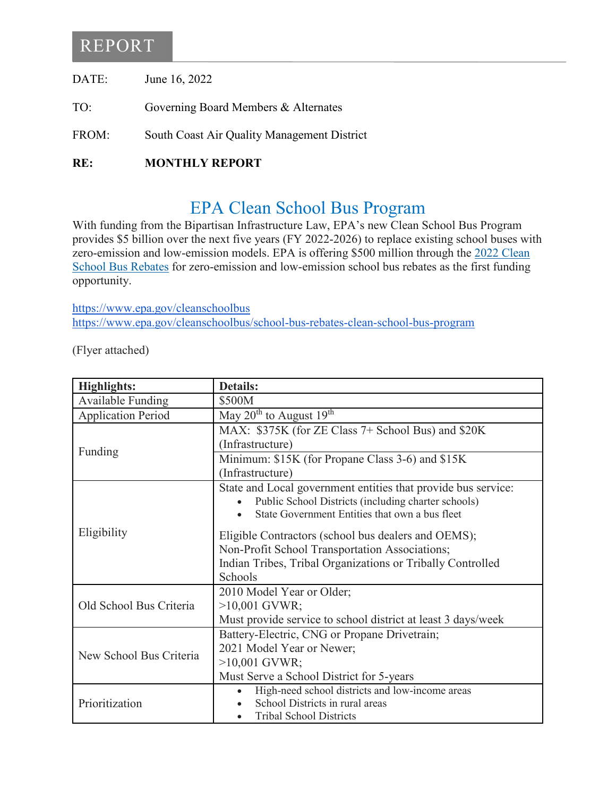# REPORT

| DATE: | June 16, 2022 |
|-------|---------------|
|-------|---------------|

- TO: Governing Board Members & Alternates
- FROM: South Coast Air Quality Management District
- **RE: MONTHLY REPORT**

# EPA Clean School Bus Program

With funding from the Bipartisan Infrastructure Law, EPA's new Clean School Bus Program provides \$5 billion over the next five years (FY 2022-2026) to replace existing school buses with zero-emission and low-emission models. EPA is offering \$500 million through the [2022 Clean](https://www.epa.gov/cleanschoolbus/school-bus-rebates-clean-school-bus-program)  [School Bus Rebates](https://www.epa.gov/cleanschoolbus/school-bus-rebates-clean-school-bus-program) for zero-emission and low-emission school bus rebates as the first funding opportunity.

<https://www.epa.gov/cleanschoolbus> <https://www.epa.gov/cleanschoolbus/school-bus-rebates-clean-school-bus-program>

(Flyer attached)

| <b>Highlights:</b>        | <b>Details:</b>                                               |
|---------------------------|---------------------------------------------------------------|
| Available Funding         | \$500M                                                        |
| <b>Application Period</b> | May $20^{th}$ to August $19^{th}$                             |
| Funding                   | MAX: \$375K (for ZE Class 7+ School Bus) and \$20K            |
|                           | (Infrastructure)                                              |
|                           | Minimum: \$15K (for Propane Class 3-6) and \$15K              |
|                           | (Infrastructure)                                              |
| Eligibility               | State and Local government entities that provide bus service: |
|                           | Public School Districts (including charter schools)           |
|                           | State Government Entities that own a bus fleet                |
|                           | Eligible Contractors (school bus dealers and OEMS);           |
|                           | Non-Profit School Transportation Associations;                |
|                           | Indian Tribes, Tribal Organizations or Tribally Controlled    |
|                           | Schools                                                       |
| Old School Bus Criteria   | 2010 Model Year or Older;                                     |
|                           | $>10,001$ GVWR;                                               |
|                           | Must provide service to school district at least 3 days/week  |
| New School Bus Criteria   | Battery-Electric, CNG or Propane Drivetrain;                  |
|                           | 2021 Model Year or Newer;                                     |
|                           | $>10,001$ GVWR;                                               |
|                           | Must Serve a School District for 5-years                      |
| Prioritization            | High-need school districts and low-income areas               |
|                           | School Districts in rural areas                               |
|                           | <b>Tribal School Districts</b>                                |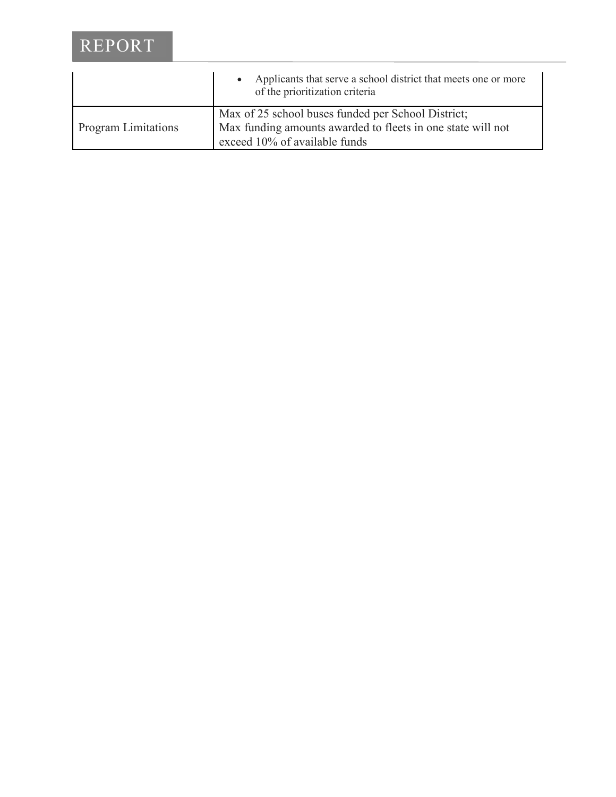# REPORT

|                            | Applicants that serve a school district that meets one or more<br>of the prioritization criteria                                                   |
|----------------------------|----------------------------------------------------------------------------------------------------------------------------------------------------|
| <b>Program Limitations</b> | Max of 25 school buses funded per School District;<br>Max funding amounts awarded to fleets in one state will not<br>exceed 10% of available funds |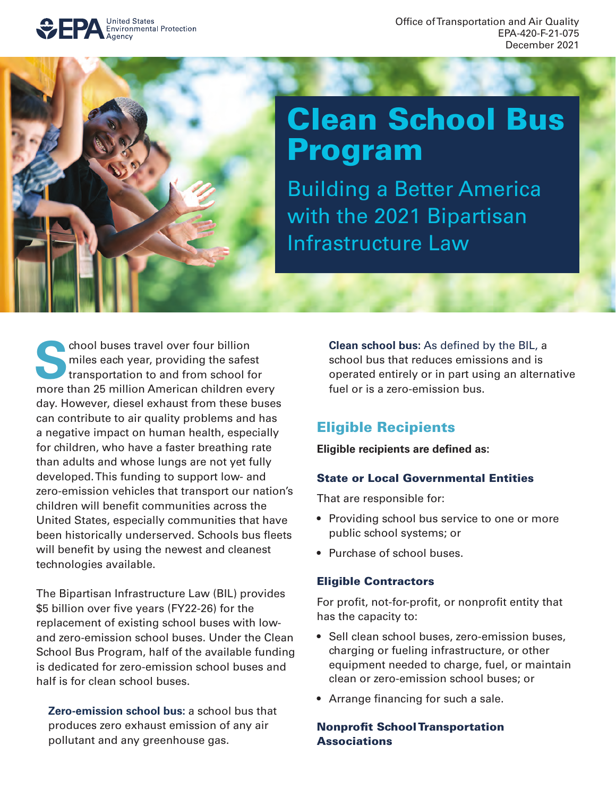

Office of Transportation and Air Quality EPA-420-F-21-075 December 2021



# Clean School Bus Program

Building a Better America with the 2021 Bipartisan Infrastructure Law

shool buses travel over four billion<br>miles each year, providing the safes<br>transportation to and from school function of miles each year, providing the safest transportation to and from school for more than 25 million American children every day. However, diesel exhaust from these buses can contribute to air quality problems and has a negative impact on human health, especially for children, who have a faster breathing rate than adults and whose lungs are not yet fully developed. This funding to support low- and zero-emission vehicles that transport our nation's children will benefit communities across the United States, especially communities that have been historically underserved. Schools bus fleets will benefit by using the newest and cleanest technologies available.

The Bipartisan Infrastructure Law (BIL) provides \$5 billion over five years (FY22-26) for the replacement of existing school buses with lowand zero-emission school buses. Under the Clean School Bus Program, half of the available funding is dedicated for zero-emission school buses and half is for clean school buses.

**Zero-emission school bus:** a school bus that produces zero exhaust emission of any air pollutant and any greenhouse gas.

**Clean school bus:** As defined by the BIL, a school bus that reduces emissions and is operated entirely or in part using an alternative fuel or is a zero-emission bus.

# Eligible Recipients

**Eligible recipients are defned as:** 

#### State or Local Governmental Entities

That are responsible for:

- Providing school bus service to one or more public school systems; or
- Purchase of school buses.

#### Eligible Contractors

For profit, not-for-profit, or nonprofit entity that has the capacity to:

- Sell clean school buses, zero-emission buses, charging or fueling infrastructure, or other equipment needed to charge, fuel, or maintain clean or zero-emission school buses; or
- Arrange financing for such a sale.

#### **Nonprofit School Transportation Associations**